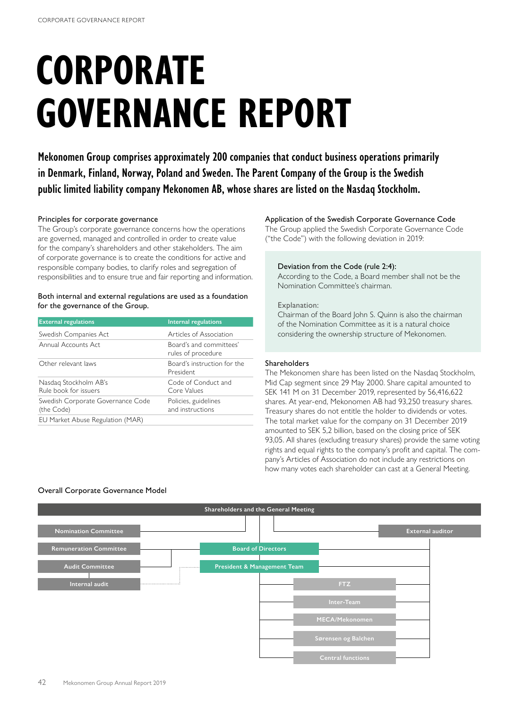# **CORPORATE GOVERNANCE REPORT**

**Mekonomen Group comprises approximately 200 companies that conduct business operations primarily in Denmark, Finland, Norway, Poland and Sweden. The Parent Company of the Group is the Swedish public limited liability company Mekonomen AB, whose shares are listed on the Nasdaq Stockholm.**

# Principles for corporate governance

The Group's corporate governance concerns how the operations are governed, managed and controlled in order to create value for the company's shareholders and other stakeholders. The aim of corporate governance is to create the conditions for active and responsible company bodies, to clarify roles and segregation of responsibilities and to ensure true and fair reporting and information.

# Both internal and external regulations are used as a foundation for the governance of the Group.

| <b>External regulations</b>                     | <b>Internal regulations</b>                   |
|-------------------------------------------------|-----------------------------------------------|
| Swedish Companies Act                           | Articles of Association                       |
| Annual Accounts Act                             | Board's and committees'<br>rules of procedure |
| Other relevant laws                             | Board's instruction for the<br>President      |
| Nasdag Stockholm AB's<br>Rule book for issuers  | Code of Conduct and<br>Core Values            |
| Swedish Corporate Governance Code<br>(the Code) | Policies, guidelines<br>and instructions      |
| EU Market Abuse Regulation (MAR)                |                                               |

# Application of the Swedish Corporate Governance Code

The Group applied the Swedish Corporate Governance Code ("the Code") with the following deviation in 2019:

### Deviation from the Code (rule 2:4):

According to the Code, a Board member shall not be the Nomination Committee's chairman.

# Explanation:

Chairman of the Board John S. Quinn is also the chairman of the Nomination Committee as it is a natural choice considering the ownership structure of Mekonomen.

# Shareholders

The Mekonomen share has been listed on the Nasdaq Stockholm, Mid Cap segment since 29 May 2000. Share capital amounted to SEK 141 M on 31 December 2019, represented by 56,416,622 shares. At year-end, Mekonomen AB had 93,250 treasury shares. Treasury shares do not entitle the holder to dividends or votes. The total market value for the company on 31 December 2019 amounted to SEK 5,2 billion, based on the closing price of SEK 93,05. All shares (excluding treasury shares) provide the same voting rights and equal rights to the company's profit and capital. The company's Articles of Association do not include any restrictions on how many votes each shareholder can cast at a General Meeting.

# Overall Corporate Governance Model

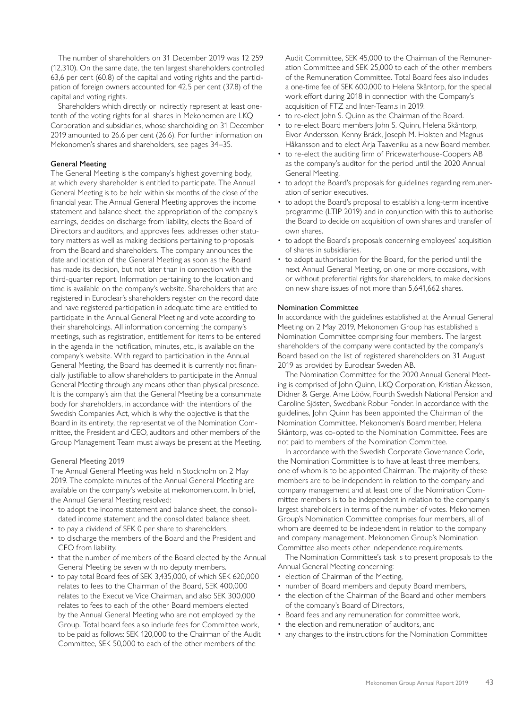The number of shareholders on 31 December 2019 was 12 259 (12,310). On the same date, the ten largest shareholders controlled 63,6 per cent (60.8) of the capital and voting rights and the participation of foreign owners accounted for 42,5 per cent (37.8) of the capital and voting rights.

Shareholders which directly or indirectly represent at least onetenth of the voting rights for all shares in Mekonomen are LKQ Corporation and subsidiaries, whose shareholding on 31 December 2019 amounted to 26.6 per cent (26.6). For further information on Mekonomen's shares and shareholders, see pages 34–35.

# General Meeting

The General Meeting is the company's highest governing body, at which every shareholder is entitled to participate. The Annual General Meeting is to be held within six months of the close of the financial year. The Annual General Meeting approves the income statement and balance sheet, the appropriation of the company's earnings, decides on discharge from liability, elects the Board of Directors and auditors, and approves fees, addresses other statutory matters as well as making decisions pertaining to proposals from the Board and shareholders. The company announces the date and location of the General Meeting as soon as the Board has made its decision, but not later than in connection with the third-quarter report. Information pertaining to the location and time is available on the company's website. Shareholders that are registered in Euroclear's shareholders register on the record date and have registered participation in adequate time are entitled to participate in the Annual General Meeting and vote according to their shareholdings. All information concerning the company's meetings, such as registration, entitlement for items to be entered in the agenda in the notification, minutes, etc., is available on the company's website. With regard to participation in the Annual General Meeting, the Board has deemed it is currently not financially justifiable to allow shareholders to participate in the Annual General Meeting through any means other than physical presence. It is the company's aim that the General Meeting be a consummate body for shareholders, in accordance with the intentions of the Swedish Companies Act, which is why the objective is that the Board in its entirety, the representative of the Nomination Committee, the President and CEO, auditors and other members of the Group Management Team must always be present at the Meeting.

# General Meeting 2019

The Annual General Meeting was held in Stockholm on 2 May 2019. The complete minutes of the Annual General Meeting are available on the company's website at mekonomen.com. In brief, the Annual General Meeting resolved:

- to adopt the income statement and balance sheet, the consolidated income statement and the consolidated balance sheet.
- to pay a dividend of SEK 0 per share to shareholders.
- to discharge the members of the Board and the President and CEO from liability.
- that the number of members of the Board elected by the Annual General Meeting be seven with no deputy members.
- to pay total Board fees of SEK 3,435,000, of which SEK 620,000 relates to fees to the Chairman of the Board, SEK 400,000 relates to the Executive Vice Chairman, and also SEK 300,000 relates to fees to each of the other Board members elected by the Annual General Meeting who are not employed by the Group. Total board fees also include fees for Committee work, to be paid as follows: SEK 120,000 to the Chairman of the Audit Committee, SEK 50,000 to each of the other members of the

Audit Committee, SEK 45,000 to the Chairman of the Remuneration Committee and SEK 25,000 to each of the other members of the Remuneration Committee. Total Board fees also includes a one-time fee of SEK 600,000 to Helena Skåntorp, for the special work effort during 2018 in connection with the Company's acquisition of FTZ and Inter-Team.s in 2019.

- to re-elect John S. Quinn as the Chairman of the Board.
- to re-elect Board members John S. Quinn, Helena Skåntorp, Eivor Andersson, Kenny Bräck, Joseph M. Holsten and Magnus Håkansson and to elect Arja Taaveniku as a new Board member.
- to re-elect the auditing firm of Pricewaterhouse-Coopers AB as the company's auditor for the period until the 2020 Annual General Meeting.
- to adopt the Board's proposals for guidelines regarding remuneration of senior executives.
- to adopt the Board's proposal to establish a long-term incentive programme (LTIP 2019) and in conjunction with this to authorise the Board to decide on acquisition of own shares and transfer of own shares.
- to adopt the Board's proposals concerning employees' acquisition of shares in subsidiaries.
- to adopt authorisation for the Board, for the period until the next Annual General Meeting, on one or more occasions, with or without preferential rights for shareholders, to make decisions on new share issues of not more than 5,641,662 shares.

### Nomination Committee

In accordance with the guidelines established at the Annual General Meeting on 2 May 2019, Mekonomen Group has established a Nomination Committee comprising four members. The largest shareholders of the company were contacted by the company's Board based on the list of registered shareholders on 31 August 2019 as provided by Euroclear Sweden AB.

The Nomination Committee for the 2020 Annual General Meeting is comprised of John Quinn, LKQ Corporation, Kristian Åkesson, Didner & Gerge, Arne Lööw, Fourth Swedish National Pension and Caroline Sjösten, Swedbank Robur Fonder. In accordance with the guidelines, John Quinn has been appointed the Chairman of the Nomination Committee. Mekonomen's Board member, Helena Skåntorp, was co-opted to the Nomination Committee. Fees are not paid to members of the Nomination Committee.

In accordance with the Swedish Corporate Governance Code, the Nomination Committee is to have at least three members, one of whom is to be appointed Chairman. The majority of these members are to be independent in relation to the company and company management and at least one of the Nomination Committee members is to be independent in relation to the company's largest shareholders in terms of the number of votes. Mekonomen Group's Nomination Committee comprises four members, all of whom are deemed to be independent in relation to the company and company management. Mekonomen Group's Nomination Committee also meets other independence requirements.

The Nomination Committee's task is to present proposals to the Annual General Meeting concerning:

- election of Chairman of the Meeting,
- number of Board members and deputy Board members,
- the election of the Chairman of the Board and other members of the company's Board of Directors,
- Board fees and any remuneration for committee work,
- the election and remuneration of auditors, and
- any changes to the instructions for the Nomination Committee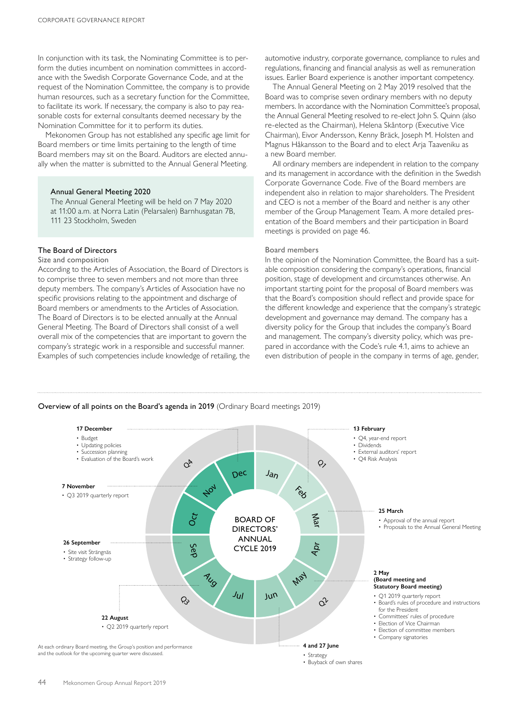In conjunction with its task, the Nominating Committee is to perform the duties incumbent on nomination committees in accordance with the Swedish Corporate Governance Code, and at the request of the Nomination Committee, the company is to provide human resources, such as a secretary function for the Committee, to facilitate its work. If necessary, the company is also to pay reasonable costs for external consultants deemed necessary by the Nomination Committee for it to perform its duties.

Mekonomen Group has not established any specific age limit for Board members or time limits pertaining to the length of time Board members may sit on the Board. Auditors are elected annually when the matter is submitted to the Annual General Meeting.

### Annual General Meeting 2020

The Annual General Meeting will be held on 7 May 2020 at 11:00 a.m. at Norra Latin (Pelarsalen) Barnhusgatan 7B, 111 23 Stockholm, Sweden

### The Board of Directors

### Size and composition

According to the Articles of Association, the Board of Directors is to comprise three to seven members and not more than three deputy members. The company's Articles of Association have no specific provisions relating to the appointment and discharge of Board members or amendments to the Articles of Association. The Board of Directors is to be elected annually at the Annual General Meeting. The Board of Directors shall consist of a well overall mix of the competencies that are important to govern the company's strategic work in a responsible and successful manner. Examples of such competencies include knowledge of retailing, the automotive industry, corporate governance, compliance to rules and regulations, financing and financial analysis as well as remuneration issues. Earlier Board experience is another important competency.

The Annual General Meeting on 2 May 2019 resolved that the Board was to comprise seven ordinary members with no deputy members. In accordance with the Nomination Committee's proposal, the Annual General Meeting resolved to re-elect John S. Quinn (also re-elected as the Chairman), Helena Skåntorp (Executive Vice Chairman), Eivor Andersson, Kenny Bräck, Joseph M. Holsten and Magnus Håkansson to the Board and to elect Arja Taaveniku as a new Board member.

All ordinary members are independent in relation to the company and its management in accordance with the definition in the Swedish Corporate Governance Code. Five of the Board members are independent also in relation to major shareholders. The President and CEO is not a member of the Board and neither is any other member of the Group Management Team. A more detailed presentation of the Board members and their participation in Board meetings is provided on page 46.

### Board members

In the opinion of the Nomination Committee, the Board has a suitable composition considering the company's operations, financial position, stage of development and circumstances otherwise. An important starting point for the proposal of Board members was that the Board's composition should reflect and provide space for the different knowledge and experience that the company's strategic development and governance may demand. The company has a diversity policy for the Group that includes the company's Board and management. The company's diversity policy, which was prepared in accordance with the Code's rule 4.1, aims to achieve an even distribution of people in the company in terms of age, gender,



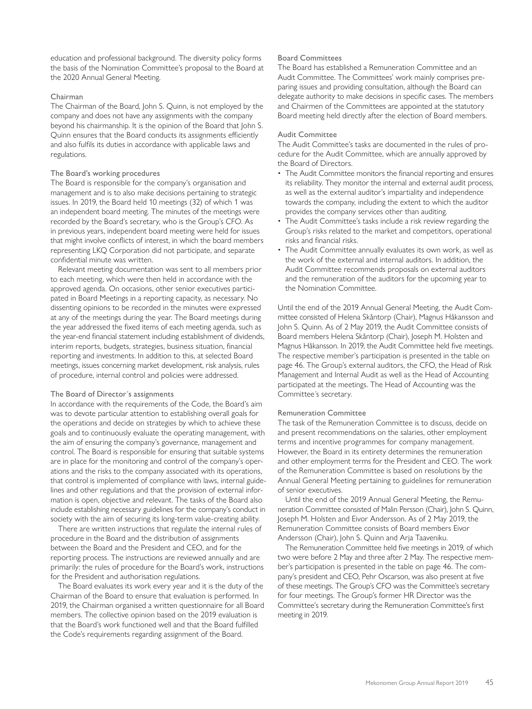education and professional background. The diversity policy forms the basis of the Nomination Committee's proposal to the Board at the 2020 Annual General Meeting.

### Chairman

The Chairman of the Board, John S. Quinn, is not employed by the company and does not have any assignments with the company beyond his chairmanship. It is the opinion of the Board that John S. Quinn ensures that the Board conducts its assignments efficiently and also fulfils its duties in accordance with applicable laws and regulations.

# The Board's working procedures

The Board is responsible for the company's organisation and management and is to also make decisions pertaining to strategic issues. In 2019, the Board held 10 meetings (32) of which 1 was an independent board meeting. The minutes of the meetings were recorded by the Board's secretary, who is the Group's CFO. As in previous years, independent board meeting were held for issues that might involve conflicts of interest, in which the board members representing LKQ Corporation did not participate, and separate confidential minute was written.

Relevant meeting documentation was sent to all members prior to each meeting, which were then held in accordance with the approved agenda. On occasions, other senior executives participated in Board Meetings in a reporting capacity, as necessary. No dissenting opinions to be recorded in the minutes were expressed at any of the meetings during the year. The Board meetings during the year addressed the fixed items of each meeting agenda, such as the year-end financial statement including establishment of dividends, interim reports, budgets, strategies, business situation, financial reporting and investments. In addition to this, at selected Board meetings, issues concerning market development, risk analysis, rules of procedure, internal control and policies were addressed.

#### The Board of Director´s assignments

In accordance with the requirements of the Code, the Board's aim was to devote particular attention to establishing overall goals for the operations and decide on strategies by which to achieve these goals and to continuously evaluate the operating management, with the aim of ensuring the company's governance, management and control. The Board is responsible for ensuring that suitable systems are in place for the monitoring and control of the company's operations and the risks to the company associated with its operations, that control is implemented of compliance with laws, internal guidelines and other regulations and that the provision of external information is open, objective and relevant. The tasks of the Board also include establishing necessary guidelines for the company's conduct in society with the aim of securing its long-term value-creating ability.

There are written instructions that regulate the internal rules of procedure in the Board and the distribution of assignments between the Board and the President and CEO, and for the reporting process. The instructions are reviewed annually and are primarily: the rules of procedure for the Board's work, instructions for the President and authorisation regulations.

The Board evaluates its work every year and it is the duty of the Chairman of the Board to ensure that evaluation is performed. In 2019, the Chairman organised a written questionnaire for all Board members. The collective opinion based on the 2019 evaluation is that the Board's work functioned well and that the Board fulfilled the Code's requirements regarding assignment of the Board.

### Board Committees

The Board has established a Remuneration Committee and an Audit Committee. The Committees' work mainly comprises preparing issues and providing consultation, although the Board can delegate authority to make decisions in specific cases. The members and Chairmen of the Committees are appointed at the statutory Board meeting held directly after the election of Board members.

# Audit Committee

The Audit Committee's tasks are documented in the rules of procedure for the Audit Committee, which are annually approved by the Board of Directors.

- The Audit Committee monitors the financial reporting and ensures its reliability. They monitor the internal and external audit process, as well as the external auditor's impartiality and independence towards the company, including the extent to which the auditor provides the company services other than auditing.
- The Audit Committee's tasks include a risk review regarding the Group's risks related to the market and competitors, operational risks and financial risks.
- The Audit Committee annually evaluates its own work, as well as the work of the external and internal auditors. In addition, the Audit Committee recommends proposals on external auditors and the remuneration of the auditors for the upcoming year to the Nomination Committee.

Until the end of the 2019 Annual General Meeting, the Audit Committee consisted of Helena Skåntorp (Chair), Magnus Håkansson and John S. Quinn. As of 2 May 2019, the Audit Committee consists of Board members Helena Skåntorp (Chair), Joseph M. Holsten and Magnus Håkansson. In 2019, the Audit Committee held five meetings. The respective member's participation is presented in the table on page 46. The Group's external auditors, the CFO, the Head of Risk Management and Internal Audit as well as the Head of Accounting participated at the meetings. The Head of Accounting was the Committee´s secretary.

### Remuneration Committee

The task of the Remuneration Committee is to discuss, decide on and present recommendations on the salaries, other employment terms and incentive programmes for company management. However, the Board in its entirety determines the remuneration and other employment terms for the President and CEO. The work of the Remuneration Committee is based on resolutions by the Annual General Meeting pertaining to guidelines for remuneration of senior executives.

Until the end of the 2019 Annual General Meeting, the Remuneration Committee consisted of Malin Persson (Chair), John S. Quinn, Joseph M. Holsten and Eivor Andersson. As of 2 May 2019, the Remuneration Committee consists of Board members Eivor Andersson (Chair), John S. Quinn and Arja Taaveniku.

The Remuneration Committee held five meetings in 2019, of which two were before 2 May and three after 2 May. The respective member's participation is presented in the table on page 46. The company's president and CEO, Pehr Oscarson, was also present at five of these meetings. The Group's CFO was the Committee's secretary for four meetings. The Group's former HR Director was the Committee's secretary during the Remuneration Committee's first meeting in 2019.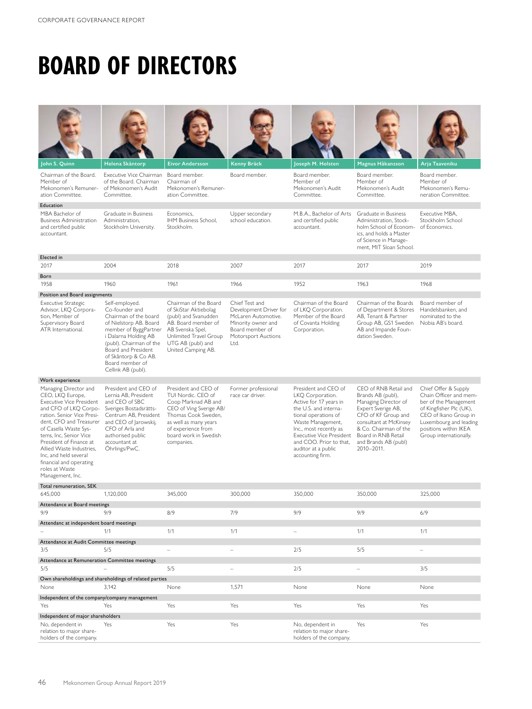# **BOARD OF DIRECTORS**

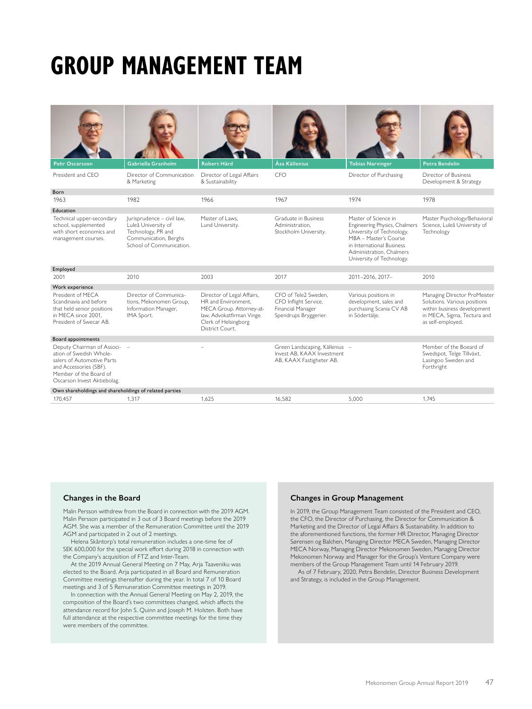# **GROUP MANAGEMENT TEAM**



Born

Education













CFO Director of Purchasing

| Pehr Oscarsson    | Gabriella Granholm                       | Robert Hård                                   | <b>Asa Källenius</b> | <b>Tobias Narvinger</b> | Petra Bendelin                                 |
|-------------------|------------------------------------------|-----------------------------------------------|----------------------|-------------------------|------------------------------------------------|
| President and CEO | Director of Communication<br>& Marketing | Director of Legal Affairs<br>& Sustainability | CFO                  | Director of Purchasing  | Director of Business<br>Development & Strategy |
| Born              |                                          |                                               |                      |                         |                                                |
| 1963              | 1982                                     | 1966                                          | 1967                 | 1974                    | 1978                                           |
| .                 |                                          |                                               |                      |                         |                                                |

Master Psychology/Behavioral Science, Luleå University of

Managing Director ProMeister Solutions. Various positions within business development in MECA, Sigma, Tectura and as self-employed.

**Technology** 

| Technical upper-secondary<br>school, supplemented<br>with short economics and<br>management courses.                        | Jurisprudence - civil law.<br>Luleå University of<br>Technology, PR and<br>Communication, Berghs<br>School of Communication. | Master of Laws.<br>Lund University.                                                                                                                   | Graduate in Business<br>Administration.<br>Stockholm University.                            | Master of Science in<br>Engineering Physics, Chalmers<br>University of Technology.<br>MBA - Master's Course<br>in International Business<br>Administration, Chalmers<br>University of Technology. | Mast<br>Scier<br>Tech                    |
|-----------------------------------------------------------------------------------------------------------------------------|------------------------------------------------------------------------------------------------------------------------------|-------------------------------------------------------------------------------------------------------------------------------------------------------|---------------------------------------------------------------------------------------------|---------------------------------------------------------------------------------------------------------------------------------------------------------------------------------------------------|------------------------------------------|
| Employed                                                                                                                    |                                                                                                                              |                                                                                                                                                       |                                                                                             |                                                                                                                                                                                                   |                                          |
| 2001                                                                                                                        | 2010                                                                                                                         | 2003                                                                                                                                                  | 2017                                                                                        | 2011-2016. 2017-                                                                                                                                                                                  | 2010                                     |
| Work experience                                                                                                             |                                                                                                                              |                                                                                                                                                       |                                                                                             |                                                                                                                                                                                                   |                                          |
| President of MECA<br>Scandinavia and before<br>that held senior positions<br>in MECA since 2001.<br>President of Swecar AB. | Director of Communica-<br>tions, Mekonomen Group,<br>Information Manager,<br>IMA Sport.                                      | Director of Legal Affairs,<br>HR and Environment.<br>MECA Group. Attorney-at-<br>law, Advokatfirman Vinge.<br>Clerk of Helsingborg<br>District Court. | CFO of Tele2 Sweden.<br>CFO Inflight Service.<br>Financial Manager<br>Spendrups Bryggerier. | Various positions in<br>development, sales and<br>purchasing Scania CV AB<br>in Södertälje.                                                                                                       | Mana<br>Solut<br>withi<br>in MI<br>as se |

Board appointments Deputy Chairman of Association of Swedish Wholesalers of Automotive Parts and Accessories (SBF). Member of the Board of Oscarson Invest Aktiebolag. – – Green Landscaping, Källenius Invest AB, KAAX Investment AB, KAAX Fastigheter AB. – Member of the Boeard of Swedspot, Telge Tillväxt, Lasingoo Sweden and Forthright Own shareholdings and shareholdings of related parties

170,457 1,317 1,317 1,625 1,582 5,000 1,745

### **Changes in the Board**

Malin Persson withdrew from the Board in connection with the 2019 AGM. Malin Persson participated in 3 out of 3 Board meetings before the 2019 AGM. She was a member of the Remuneration Committee until the 2019 AGM and participated in 2 out of 2 meetings.

Helena Skåntorp's total remuneration includes a one-time fee of SEK 600,000 for the special work effort during 2018 in connection with the Company's acquisition of FTZ and Inter-Team.

At the 2019 Annual General Meeting on 7 May, Arja Taaveniku was elected to the Board. Arja participated in all Board and Remuneration Committee meetings thereafter during the year. In total 7 of 10 Board meetings and 3 of 5 Remuneration Committee meetings in 2019.

In connection with the Annual General Meeting on May 2, 2019, the composition of the Board's two committees changed, which affects the attendance record for John S. Quinn and Joseph M. Holsten. Both have full attendance at the respective committee meetings for the time they were members of the committee.

# **Changes in Group Management**

In 2019, the Group Management Team consisted of the President and CEO, the CFO, the Director of Purchasing, the Director for Communication & Marketing and the Director of Legal Affairs & Sustainability. In addition to the aforementioned functions, the former HR Director, Managing Director Sørensen og Balchen, Managing Director MECA Sweden, Managing Director MECA Norway, Managing Director Mekonomen Sweden, Managing Director Mekonomen Norway and Manager for the Group's Venture Company were members of the Group Management Team until 14 February 2019.

As of 7 February, 2020, Petra Bendelin, Director Business Development and Strategy, is included in the Group Management.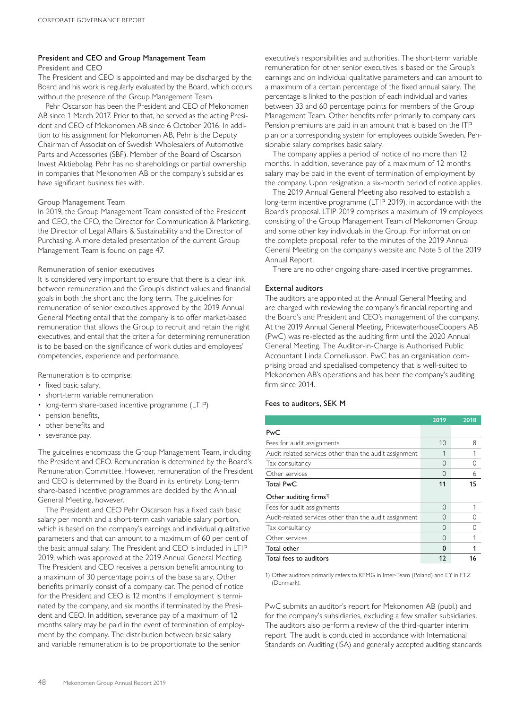### President and CEO and Group Management Team President and CEO

The President and CEO is appointed and may be discharged by the Board and his work is regularly evaluated by the Board, which occurs without the presence of the Group Management Team.

Pehr Oscarson has been the President and CEO of Mekonomen AB since 1 March 2017. Prior to that, he served as the acting President and CEO of Mekonomen AB since 6 October 2016. In addition to his assignment for Mekonomen AB, Pehr is the Deputy Chairman of Association of Swedish Wholesalers of Automotive Parts and Accessories (SBF). Member of the Board of Oscarson Invest Aktiebolag. Pehr has no shareholdings or partial ownership in companies that Mekonomen AB or the company's subsidiaries have significant business ties with.

# Group Management Team

In 2019, the Group Management Team consisted of the President and CEO, the CFO, the Director for Communication & Marketing, the Director of Legal Affairs & Sustainability and the Director of Purchasing. A more detailed presentation of the current Group Management Team is found on page 47.

# Remuneration of senior executives

It is considered very important to ensure that there is a clear link between remuneration and the Group's distinct values and financial goals in both the short and the long term. The guidelines for remuneration of senior executives approved by the 2019 Annual General Meeting entail that the company is to offer market-based remuneration that allows the Group to recruit and retain the right executives, and entail that the criteria for determining remuneration is to be based on the significance of work duties and employees' competencies, experience and performance.

Remuneration is to comprise:

- fixed basic salary,
- short-term variable remuneration
- long-term share-based incentive programme (LTIP)
- pension benefits,
- other benefits and
- severance pay.

The guidelines encompass the Group Management Team, including the President and CEO. Remuneration is determined by the Board's Remuneration Committee. However, remuneration of the President and CEO is determined by the Board in its entirety. Long-term share-based incentive programmes are decided by the Annual General Meeting, however.

The President and CEO Pehr Oscarson has a fixed cash basic salary per month and a short-term cash variable salary portion, which is based on the company's earnings and individual qualitative parameters and that can amount to a maximum of 60 per cent of the basic annual salary. The President and CEO is included in LTIP 2019, which was approved at the 2019 Annual General Meeting. The President and CEO receives a pension benefit amounting to a maximum of 30 percentage points of the base salary. Other benefits primarily consist of a company car. The period of notice for the President and CEO is 12 months if employment is terminated by the company, and six months if terminated by the President and CEO. In addition, severance pay of a maximum of 12 months salary may be paid in the event of termination of employment by the company. The distribution between basic salary and variable remuneration is to be proportionate to the senior

executive's responsibilities and authorities. The short-term variable remuneration for other senior executives is based on the Group's earnings and on individual qualitative parameters and can amount to a maximum of a certain percentage of the fixed annual salary. The percentage is linked to the position of each individual and varies between 33 and 60 percentage points for members of the Group Management Team. Other benefits refer primarily to company cars. Pension premiums are paid in an amount that is based on the ITP plan or a corresponding system for employees outside Sweden. Pensionable salary comprises basic salary.

The company applies a period of notice of no more than 12 months. In addition, severance pay of a maximum of 12 months salary may be paid in the event of termination of employment by the company. Upon resignation, a six-month period of notice applies.

The 2019 Annual General Meeting also resolved to establish a long-term incentive programme (LTIP 2019), in accordance with the Board's proposal. LTIP 2019 comprises a maximum of 19 employees consisting of the Group Management Team of Mekonomen Group and some other key individuals in the Group. For information on the complete proposal, refer to the minutes of the 2019 Annual General Meeting on the company's website and Note 5 of the 2019 Annual Report.

There are no other ongoing share-based incentive programmes.

# External auditors

The auditors are appointed at the Annual General Meeting and are charged with reviewing the company's financial reporting and the Board's and President and CEO's management of the company. At the 2019 Annual General Meeting, PricewaterhouseCoopers AB (PwC) was re-elected as the auditing firm until the 2020 Annual General Meeting. The Auditor-in-Charge is Authorised Public Accountant Linda Corneliusson. PwC has an organisation comprising broad and specialised competency that is well-suited to Mekonomen AB's operations and has been the company's auditing firm since 2014.

# Fees to auditors, SEK M

|                                                        | 2019       | 2018      |
|--------------------------------------------------------|------------|-----------|
| PwC                                                    |            |           |
| Fees for audit assignments                             | 10         | 8         |
| Audit-related services other than the audit assignment |            |           |
| Tax consultancy                                        | 0          | $\bigcap$ |
| Other services                                         | 0          | 6         |
| <b>Total PwC</b>                                       | 11         | 15        |
| Other auditing firms <sup>1)</sup>                     |            |           |
| Fees for audit assignments                             | 0          |           |
| Audit-related services other than the audit assignment | $\bigcirc$ |           |
| Tax consultancy                                        | 0          |           |
| Other services                                         | 0          |           |
| Total other                                            | 0          |           |
| Total fees to auditors                                 | 12         | 16        |

1) Other auditors primarily refers to KPMG in Inter-Team (Poland) and EY in FTZ (Denmark).

PwC submits an auditor's report for Mekonomen AB (publ.) and for the company's subsidiaries, excluding a few smaller subsidiaries. The auditors also perform a review of the third-quarter interim report. The audit is conducted in accordance with International Standards on Auditing (ISA) and generally accepted auditing standards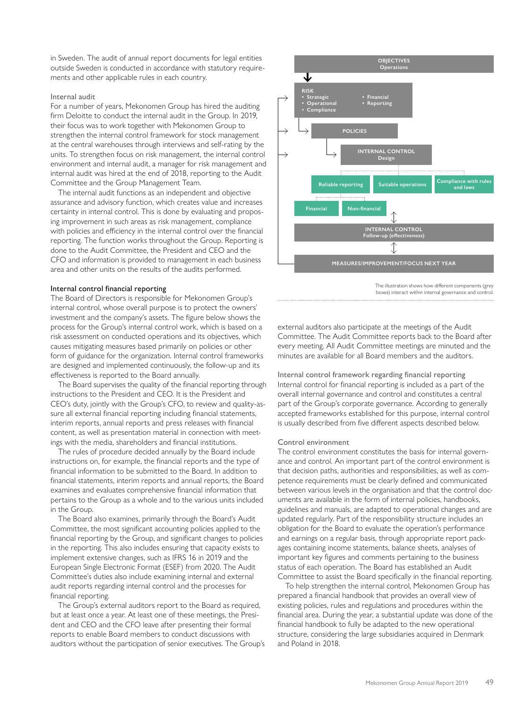in Sweden. The audit of annual report documents for legal entities outside Sweden is conducted in accordance with statutory requirements and other applicable rules in each country.

### Internal audit

For a number of years, Mekonomen Group has hired the auditing firm Deloitte to conduct the internal audit in the Group. In 2019, their focus was to work together with Mekonomen Group to strengthen the internal control framework for stock management at the central warehouses through interviews and self-rating by the units. To strengthen focus on risk management, the internal control environment and internal audit, a manager for risk management and internal audit was hired at the end of 2018, reporting to the Audit Committee and the Group Management Team.

The internal audit functions as an independent and objective assurance and advisory function, which creates value and increases certainty in internal control. This is done by evaluating and proposing improvement in such areas as risk management, compliance with policies and efficiency in the internal control over the financial reporting. The function works throughout the Group. Reporting is done to the Audit Committee, the President and CEO and the CFO and information is provided to management in each business area and other units on the results of the audits performed.

### Internal control financial reporting

The Board of Directors is responsible for Mekonomen Group's internal control, whose overall purpose is to protect the owners' investment and the company's assets. The figure below shows the process for the Group's internal control work, which is based on a risk assessment on conducted operations and its objectives, which causes mitigating measures based primarily on policies or other form of guidance for the organization. Internal control frameworks are designed and implemented continuously, the follow-up and its effectiveness is reported to the Board annually.

The Board supervises the quality of the financial reporting through instructions to the President and CEO. It is the President and CEO's duty, jointly with the Group's CFO, to review and quality-assure all external financial reporting including financial statements, interim reports, annual reports and press releases with financial content, as well as presentation material in connection with meetings with the media, shareholders and financial institutions.

The rules of procedure decided annually by the Board include instructions on, for example, the financial reports and the type of financial information to be submitted to the Board. In addition to financial statements, interim reports and annual reports, the Board examines and evaluates comprehensive financial information that pertains to the Group as a whole and to the various units included in the Group.

The Board also examines, primarily through the Board's Audit Committee, the most significant accounting policies applied to the financial reporting by the Group, and significant changes to policies in the reporting. This also includes ensuring that capacity exists to implement extensive changes, such as IFRS 16 in 2019 and the European Single Electronic Format (ESEF) from 2020. The Audit Committee's duties also include examining internal and external audit reports regarding internal control and the processes for financial reporting.

The Group's external auditors report to the Board as required, but at least once a year. At least one of these meetings, the President and CEO and the CFO leave after presenting their formal reports to enable Board members to conduct discussions with auditors without the participation of senior executives. The Group's



The illustration shows how different components (grey boxes) interact within internal governance and control.

external auditors also participate at the meetings of the Audit Committee. The Audit Committee reports back to the Board after every meeting. All Audit Committee meetings are minuted and the minutes are available for all Board members and the auditors.

Internal control framework regarding financial reporting Internal control for financial reporting is included as a part of the overall internal governance and control and constitutes a central part of the Group's corporate governance. According to generally accepted frameworks established for this purpose, internal control is usually described from five different aspects described below.

### Control environment

The control environment constitutes the basis for internal governance and control. An important part of the control environment is that decision paths, authorities and responsibilities, as well as competence requirements must be clearly defined and communicated between various levels in the organisation and that the control documents are available in the form of internal policies, handbooks, guidelines and manuals, are adapted to operational changes and are updated regularly. Part of the responsibility structure includes an obligation for the Board to evaluate the operation's performance and earnings on a regular basis, through appropriate report packages containing income statements, balance sheets, analyses of important key figures and comments pertaining to the business status of each operation. The Board has established an Audit Committee to assist the Board specifically in the financial reporting.

To help strengthen the internal control, Mekonomen Group has prepared a financial handbook that provides an overall view of existing policies, rules and regulations and procedures within the financial area. During the year, a substantial update was done of the financial handbook to fully be adapted to the new operational structure, considering the large subsidiaries acquired in Denmark and Poland in 2018.